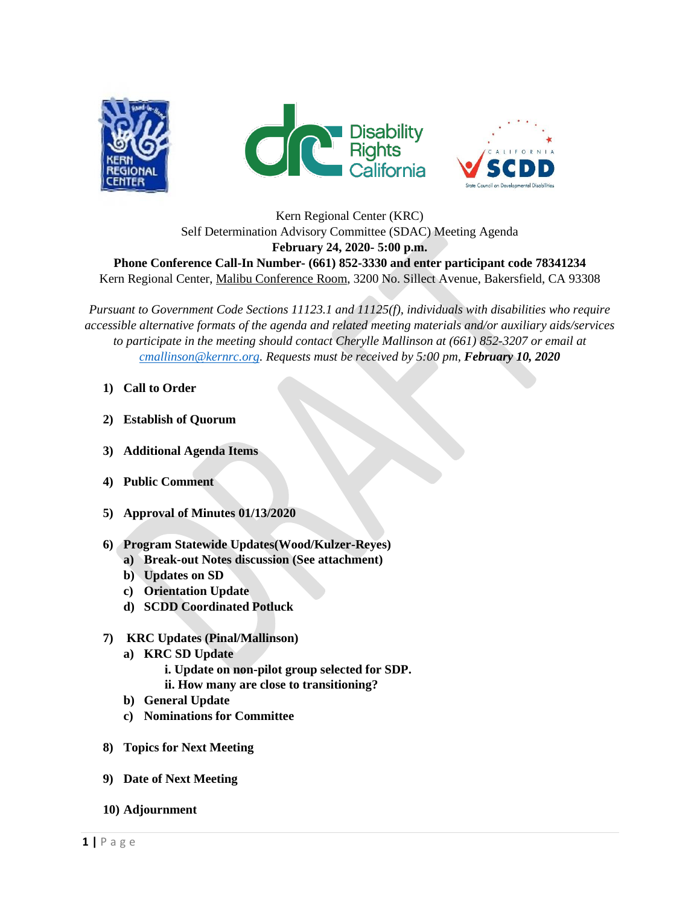





Kern Regional Center (KRC) Self Determination Advisory Committee (SDAC) Meeting Agenda **February 24, 2020- 5:00 p.m. Phone Conference Call-In Number- (661) 852-3330 and enter participant code 78341234** Kern Regional Center, Malibu Conference Room, 3200 No. Sillect Avenue, Bakersfield, CA 93308

*Pursuant to Government Code Sections 11123.1 and 11125(f), individuals with disabilities who require accessible alternative formats of the agenda and related meeting materials and/or auxiliary aids/services to participate in the meeting should contact Cherylle Mallinson at (661) 852-3207 or email at [cmallinson@kernrc.org.](mailto:cmallinson@kernrc.org) Requests must be received by 5:00 pm, February 10, 2020*

- **1) Call to Order**
- **2) Establish of Quorum**
- **3) Additional Agenda Items**
- **4) Public Comment**
- **5) Approval of Minutes 01/13/2020**
- **6) Program Statewide Updates(Wood/Kulzer-Reyes)**
	- **a) Break-out Notes discussion (See attachment)**
	- **b) Updates on SD**
	- **c) Orientation Update**
	- **d) SCDD Coordinated Potluck**
- **7) KRC Updates (Pinal/Mallinson)**
	- **a) KRC SD Update**
		- **i. Update on non-pilot group selected for SDP.**
		- **ii. How many are close to transitioning?**
	- **b) General Update**
	- **c) Nominations for Committee**
- **8) Topics for Next Meeting**
- **9) Date of Next Meeting**
- **10) Adjournment**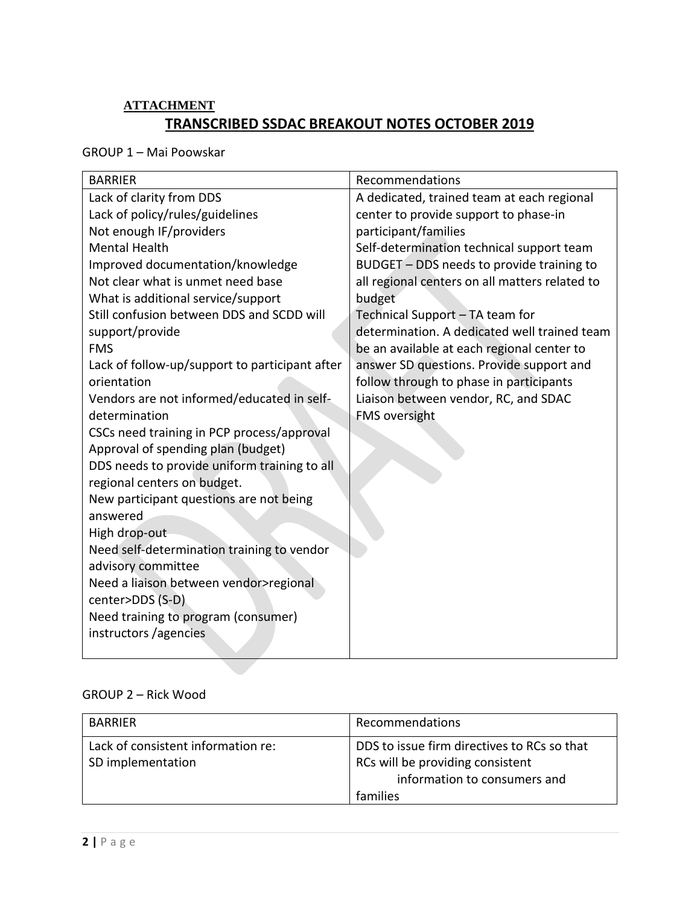## **ATTACHMENT TRANSCRIBED SSDAC BREAKOUT NOTES OCTOBER 2019**

GROUP 1 – Mai Poowskar

| <b>BARRIER</b>                                 | Recommendations                                |
|------------------------------------------------|------------------------------------------------|
| Lack of clarity from DDS                       | A dedicated, trained team at each regional     |
| Lack of policy/rules/guidelines                | center to provide support to phase-in          |
| Not enough IF/providers                        | participant/families                           |
| <b>Mental Health</b>                           | Self-determination technical support team      |
| Improved documentation/knowledge               | BUDGET - DDS needs to provide training to      |
| Not clear what is unmet need base              | all regional centers on all matters related to |
| What is additional service/support             | budget                                         |
| Still confusion between DDS and SCDD will      | Technical Support - TA team for                |
| support/provide                                | determination. A dedicated well trained team   |
| <b>FMS</b>                                     | be an available at each regional center to     |
| Lack of follow-up/support to participant after | answer SD questions. Provide support and       |
| orientation                                    | follow through to phase in participants        |
| Vendors are not informed/educated in self-     | Liaison between vendor, RC, and SDAC           |
| determination                                  | <b>FMS oversight</b>                           |
| CSCs need training in PCP process/approval     |                                                |
| Approval of spending plan (budget)             |                                                |
| DDS needs to provide uniform training to all   |                                                |
| regional centers on budget.                    |                                                |
| New participant questions are not being        |                                                |
| answered                                       |                                                |
| High drop-out                                  |                                                |
| Need self-determination training to vendor     |                                                |
| advisory committee                             |                                                |
| Need a liaison between vendor>regional         |                                                |
| center>DDS (S-D)                               |                                                |
| Need training to program (consumer)            |                                                |
| instructors / agencies                         |                                                |
|                                                |                                                |

## GROUP 2 – Rick Wood

| <b>BARRIER</b>                                          | Recommendations                                                                                                 |
|---------------------------------------------------------|-----------------------------------------------------------------------------------------------------------------|
| Lack of consistent information re:<br>SD implementation | DDS to issue firm directives to RCs so that<br>RCs will be providing consistent<br>information to consumers and |
|                                                         | families                                                                                                        |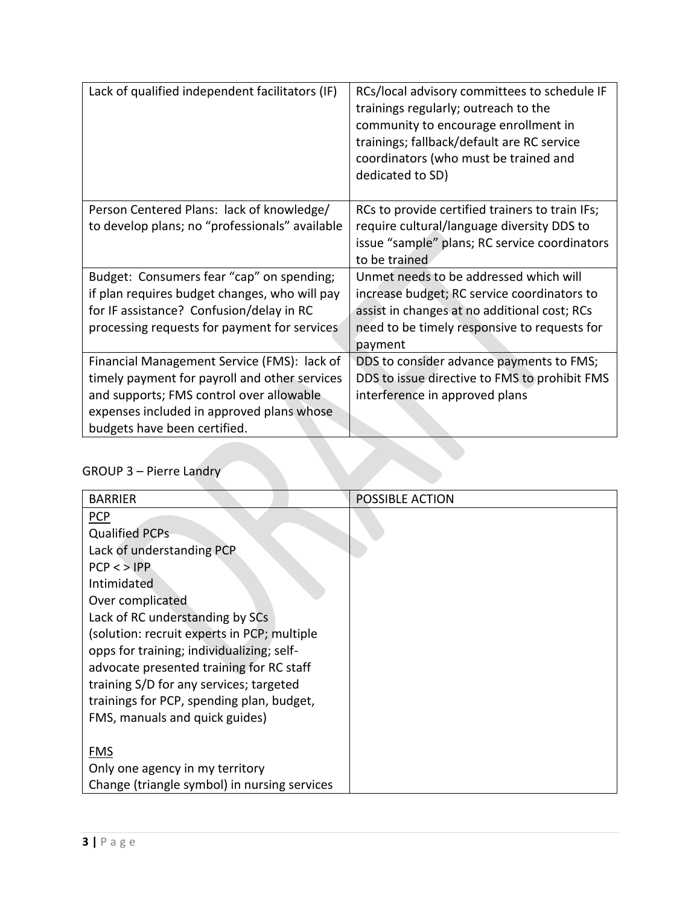| Lack of qualified independent facilitators (IF) | RCs/local advisory committees to schedule IF<br>trainings regularly; outreach to the<br>community to encourage enrollment in<br>trainings; fallback/default are RC service<br>coordinators (who must be trained and<br>dedicated to SD) |
|-------------------------------------------------|-----------------------------------------------------------------------------------------------------------------------------------------------------------------------------------------------------------------------------------------|
| Person Centered Plans: lack of knowledge/       | RCs to provide certified trainers to train IFs;                                                                                                                                                                                         |
| to develop plans; no "professionals" available  | require cultural/language diversity DDS to                                                                                                                                                                                              |
|                                                 | issue "sample" plans; RC service coordinators                                                                                                                                                                                           |
|                                                 | to be trained                                                                                                                                                                                                                           |
| Budget: Consumers fear "cap" on spending;       | Unmet needs to be addressed which will                                                                                                                                                                                                  |
| if plan requires budget changes, who will pay   | increase budget; RC service coordinators to                                                                                                                                                                                             |
| for IF assistance? Confusion/delay in RC        | assist in changes at no additional cost; RCs                                                                                                                                                                                            |
| processing requests for payment for services    | need to be timely responsive to requests for                                                                                                                                                                                            |
|                                                 | payment                                                                                                                                                                                                                                 |
| Financial Management Service (FMS): lack of     | DDS to consider advance payments to FMS;                                                                                                                                                                                                |
| timely payment for payroll and other services   | DDS to issue directive to FMS to prohibit FMS                                                                                                                                                                                           |
| and supports; FMS control over allowable        | interference in approved plans                                                                                                                                                                                                          |
| expenses included in approved plans whose       |                                                                                                                                                                                                                                         |
| budgets have been certified.                    |                                                                                                                                                                                                                                         |
|                                                 |                                                                                                                                                                                                                                         |
| <b>GROUP 3 - Pierre Landry</b>                  |                                                                                                                                                                                                                                         |

## GROUP 3 – Pierre Landry

| <b>BARRIER</b>                               | <b>POSSIBLE ACTION</b> |
|----------------------------------------------|------------------------|
| <b>PCP</b>                                   |                        |
| <b>Qualified PCPs</b>                        |                        |
| Lack of understanding PCP                    |                        |
| $PCP <$ $>$ $IPP$                            |                        |
| Intimidated                                  |                        |
| Over complicated                             |                        |
| Lack of RC understanding by SCs              |                        |
| (solution: recruit experts in PCP; multiple  |                        |
| opps for training; individualizing; self-    |                        |
| advocate presented training for RC staff     |                        |
| training S/D for any services; targeted      |                        |
| trainings for PCP, spending plan, budget,    |                        |
| FMS, manuals and quick guides)               |                        |
|                                              |                        |
| <b>FMS</b>                                   |                        |
| Only one agency in my territory              |                        |
| Change (triangle symbol) in nursing services |                        |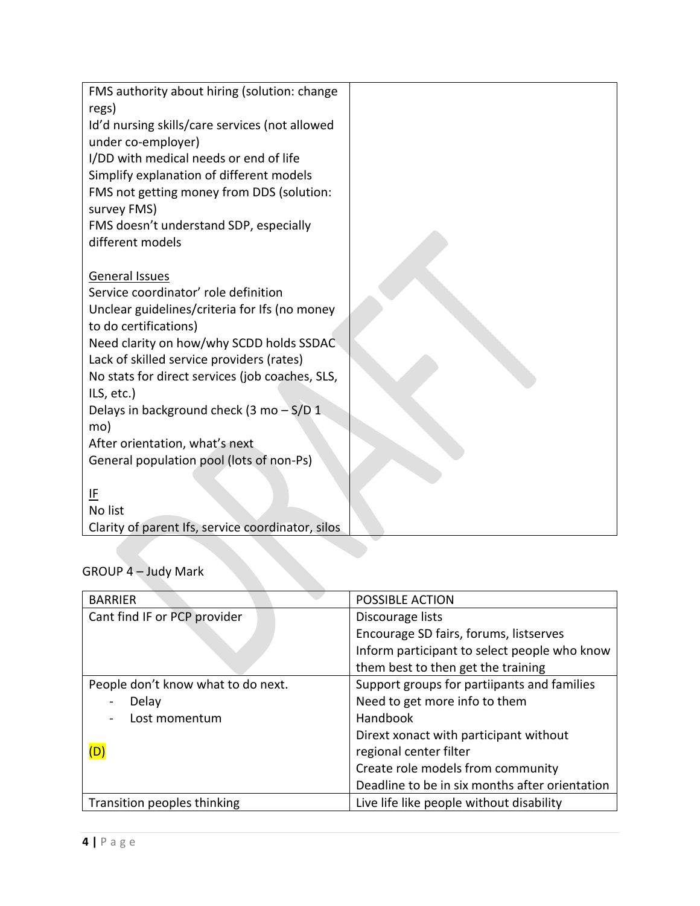| FMS authority about hiring (solution: change      |  |
|---------------------------------------------------|--|
| regs)                                             |  |
| Id'd nursing skills/care services (not allowed    |  |
| under co-employer)                                |  |
| I/DD with medical needs or end of life            |  |
| Simplify explanation of different models          |  |
| FMS not getting money from DDS (solution:         |  |
| survey FMS)                                       |  |
| FMS doesn't understand SDP, especially            |  |
| different models                                  |  |
|                                                   |  |
| General Issues                                    |  |
| Service coordinator' role definition              |  |
| Unclear guidelines/criteria for Ifs (no money     |  |
| to do certifications)                             |  |
| Need clarity on how/why SCDD holds SSDAC          |  |
| Lack of skilled service providers (rates)         |  |
| No stats for direct services (job coaches, SLS,   |  |
| ILS, etc.)                                        |  |
| Delays in background check (3 mo - S/D 1          |  |
| mo)                                               |  |
| After orientation, what's next                    |  |
| General population pool (lots of non-Ps)          |  |
|                                                   |  |
| IF                                                |  |
| No list                                           |  |
| Clarity of parent Ifs, service coordinator, silos |  |

| <b>BARRIER</b>                     | <b>POSSIBLE ACTION</b>                         |
|------------------------------------|------------------------------------------------|
| Cant find IF or PCP provider       | Discourage lists                               |
|                                    | Encourage SD fairs, forums, listserves         |
|                                    | Inform participant to select people who know   |
|                                    | them best to then get the training             |
| People don't know what to do next. | Support groups for partiipants and families    |
| Delay                              | Need to get more info to them                  |
| Lost momentum                      | <b>Handbook</b>                                |
|                                    | Dirext xonact with participant without         |
|                                    | regional center filter                         |
|                                    | Create role models from community              |
|                                    | Deadline to be in six months after orientation |
| Transition peoples thinking        | Live life like people without disability       |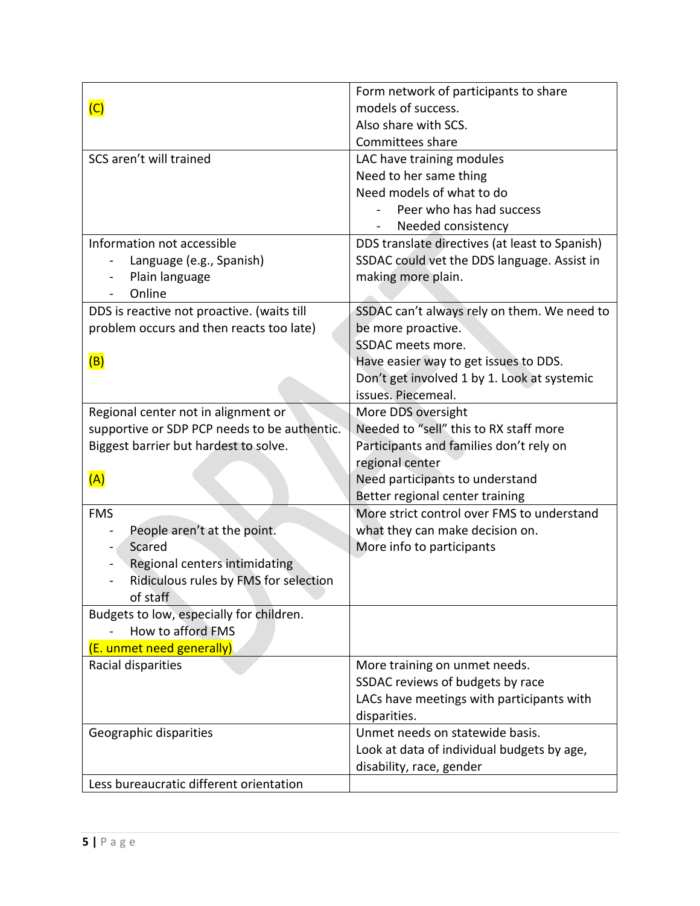|                                              | Form network of participants to share          |
|----------------------------------------------|------------------------------------------------|
| (C)                                          | models of success.                             |
|                                              | Also share with SCS.                           |
|                                              | Committees share                               |
| SCS aren't will trained                      | LAC have training modules                      |
|                                              | Need to her same thing                         |
|                                              | Need models of what to do                      |
|                                              | Peer who has had success                       |
|                                              | Needed consistency                             |
| Information not accessible                   | DDS translate directives (at least to Spanish) |
| Language (e.g., Spanish)                     | SSDAC could vet the DDS language. Assist in    |
| Plain language                               | making more plain.                             |
| Online                                       |                                                |
| DDS is reactive not proactive. (waits till   | SSDAC can't always rely on them. We need to    |
| problem occurs and then reacts too late)     | be more proactive.                             |
|                                              | <b>SSDAC</b> meets more.                       |
| (B)                                          | Have easier way to get issues to DDS.          |
|                                              | Don't get involved 1 by 1. Look at systemic    |
|                                              | issues. Piecemeal.                             |
| Regional center not in alignment or          | More DDS oversight                             |
| supportive or SDP PCP needs to be authentic. | Needed to "sell" this to RX staff more         |
| Biggest barrier but hardest to solve.        | Participants and families don't rely on        |
|                                              | regional center                                |
| (A)                                          | Need participants to understand                |
|                                              | Better regional center training                |
| <b>FMS</b>                                   | More strict control over FMS to understand     |
| People aren't at the point.                  | what they can make decision on.                |
| Scared                                       | More info to participants                      |
| Regional centers intimidating                |                                                |
| Ridiculous rules by FMS for selection        |                                                |
| of staff                                     |                                                |
| Budgets to low, especially for children.     |                                                |
| How to afford FMS                            |                                                |
| (E. unmet need generally)                    |                                                |
| Racial disparities                           | More training on unmet needs.                  |
|                                              | SSDAC reviews of budgets by race               |
|                                              | LACs have meetings with participants with      |
|                                              | disparities.                                   |
| Geographic disparities                       | Unmet needs on statewide basis.                |
|                                              | Look at data of individual budgets by age,     |
|                                              | disability, race, gender                       |
| Less bureaucratic different orientation      |                                                |